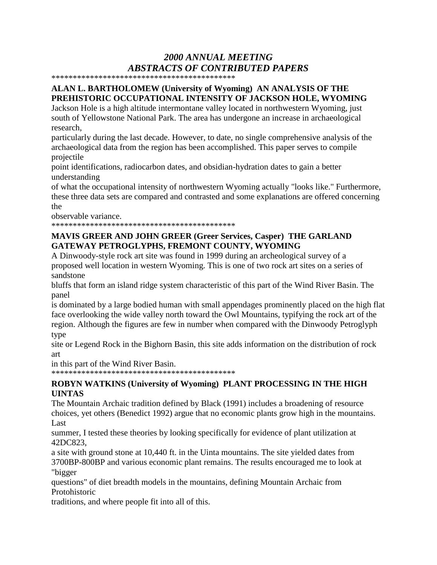# *2000 ANNUAL MEETING ABSTRACTS OF CONTRIBUTED PAPERS*

\*\*\*\*\*\*\*\*\*\*\*\*\*\*\*\*\*\*\*\*\*\*\*\*\*\*\*\*\*\*\*\*\*\*\*\*\*\*\*\*\*\*\*

# **ALAN L. BARTHOLOMEW (University of Wyoming) AN ANALYSIS OF THE PREHISTORIC OCCUPATIONAL INTENSITY OF JACKSON HOLE, WYOMING**

Jackson Hole is a high altitude intermontane valley located in northwestern Wyoming, just south of Yellowstone National Park. The area has undergone an increase in archaeological research,

particularly during the last decade. However, to date, no single comprehensive analysis of the archaeological data from the region has been accomplished. This paper serves to compile projectile

point identifications, radiocarbon dates, and obsidian-hydration dates to gain a better understanding

of what the occupational intensity of northwestern Wyoming actually "looks like." Furthermore, these three data sets are compared and contrasted and some explanations are offered concerning the

observable variance.

\*\*\*\*\*\*\*\*\*\*\*\*\*\*\*\*\*\*\*\*\*\*\*\*\*\*\*\*\*\*\*\*\*\*\*\*\*\*\*\*\*\*\*

#### **MAVIS GREER AND JOHN GREER (Greer Services, Casper) THE GARLAND GATEWAY PETROGLYPHS, FREMONT COUNTY, WYOMING**

A Dinwoody-style rock art site was found in 1999 during an archeological survey of a proposed well location in western Wyoming. This is one of two rock art sites on a series of sandstone

bluffs that form an island ridge system characteristic of this part of the Wind River Basin. The panel

is dominated by a large bodied human with small appendages prominently placed on the high flat face overlooking the wide valley north toward the Owl Mountains, typifying the rock art of the region. Although the figures are few in number when compared with the Dinwoody Petroglyph type

site or Legend Rock in the Bighorn Basin, this site adds information on the distribution of rock art

in this part of the Wind River Basin.

\*\*\*\*\*\*\*\*\*\*\*\*\*\*\*\*\*\*\*\*\*\*\*\*\*\*\*\*\*\*\*\*\*\*\*\*\*\*\*\*\*\*\*

# **ROBYN WATKINS (University of Wyoming) PLANT PROCESSING IN THE HIGH UINTAS**

The Mountain Archaic tradition defined by Black (1991) includes a broadening of resource choices, yet others (Benedict 1992) argue that no economic plants grow high in the mountains. Last

summer, I tested these theories by looking specifically for evidence of plant utilization at 42DC823,

a site with ground stone at 10,440 ft. in the Uinta mountains. The site yielded dates from 3700BP-800BP and various economic plant remains. The results encouraged me to look at "bigger

questions" of diet breadth models in the mountains, defining Mountain Archaic from Protohistoric

traditions, and where people fit into all of this.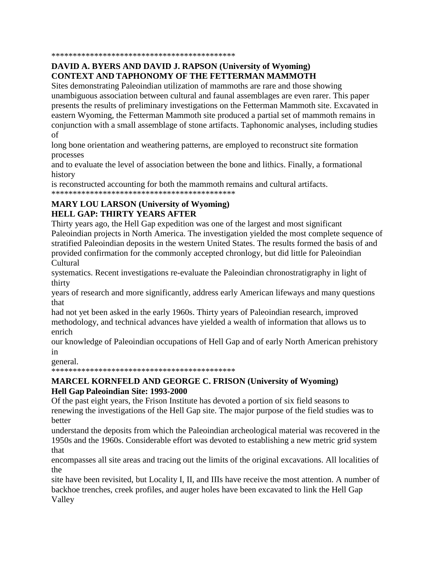#### 

# DAVID A. BYERS AND DAVID J. RAPSON (University of Wyoming) **CONTEXT AND TAPHONOMY OF THE FETTERMAN MAMMOTH**

Sites demonstrating Paleoindian utilization of mammoths are rare and those showing unambiguous association between cultural and faunal assemblages are even rarer. This paper presents the results of preliminary investigations on the Fetterman Mammoth site. Excavated in eastern Wyoming, the Fetterman Mammoth site produced a partial set of mammoth remains in conjunction with a small assemblage of stone artifacts. Taphonomic analyses, including studies of

long bone orientation and weathering patterns, are employed to reconstruct site formation processes

and to evaluate the level of association between the bone and lithics. Finally, a formational history

is reconstructed accounting for both the mammoth remains and cultural artifacts. 

# **MARY LOU LARSON (University of Wyoming) HELL GAP: THIRTY YEARS AFTER**

Thirty years ago, the Hell Gap expedition was one of the largest and most significant Paleoindian projects in North America. The investigation yielded the most complete sequence of stratified Paleoindian deposits in the western United States. The results formed the basis of and provided confirmation for the commonly accepted chronlogy, but did little for Paleoindian Cultural

systematics. Recent investigations re-evaluate the Paleoindian chronostratigraphy in light of thirty

years of research and more significantly, address early American lifeways and many questions that

had not yet been asked in the early 1960s. Thirty years of Paleoindian research, improved methodology, and technical advances have yielded a wealth of information that allows us to enrich

our knowledge of Paleoindian occupations of Hell Gap and of early North American prehistory in

general.

#### **MARCEL KORNFELD AND GEORGE C. FRISON (University of Wyoming)** Hell Gap Paleoindian Site: 1993-2000

Of the past eight years, the Frison Institute has devoted a portion of six field seasons to renewing the investigations of the Hell Gap site. The major purpose of the field studies was to better

understand the deposits from which the Paleoindian archeological material was recovered in the 1950s and the 1960s. Considerable effort was devoted to establishing a new metric grid system that

encompasses all site areas and tracing out the limits of the original excavations. All localities of the

site have been revisited, but Locality I, II, and IIIs have receive the most attention. A number of backhoe trenches, creek profiles, and auger holes have been excavated to link the Hell Gap Valley